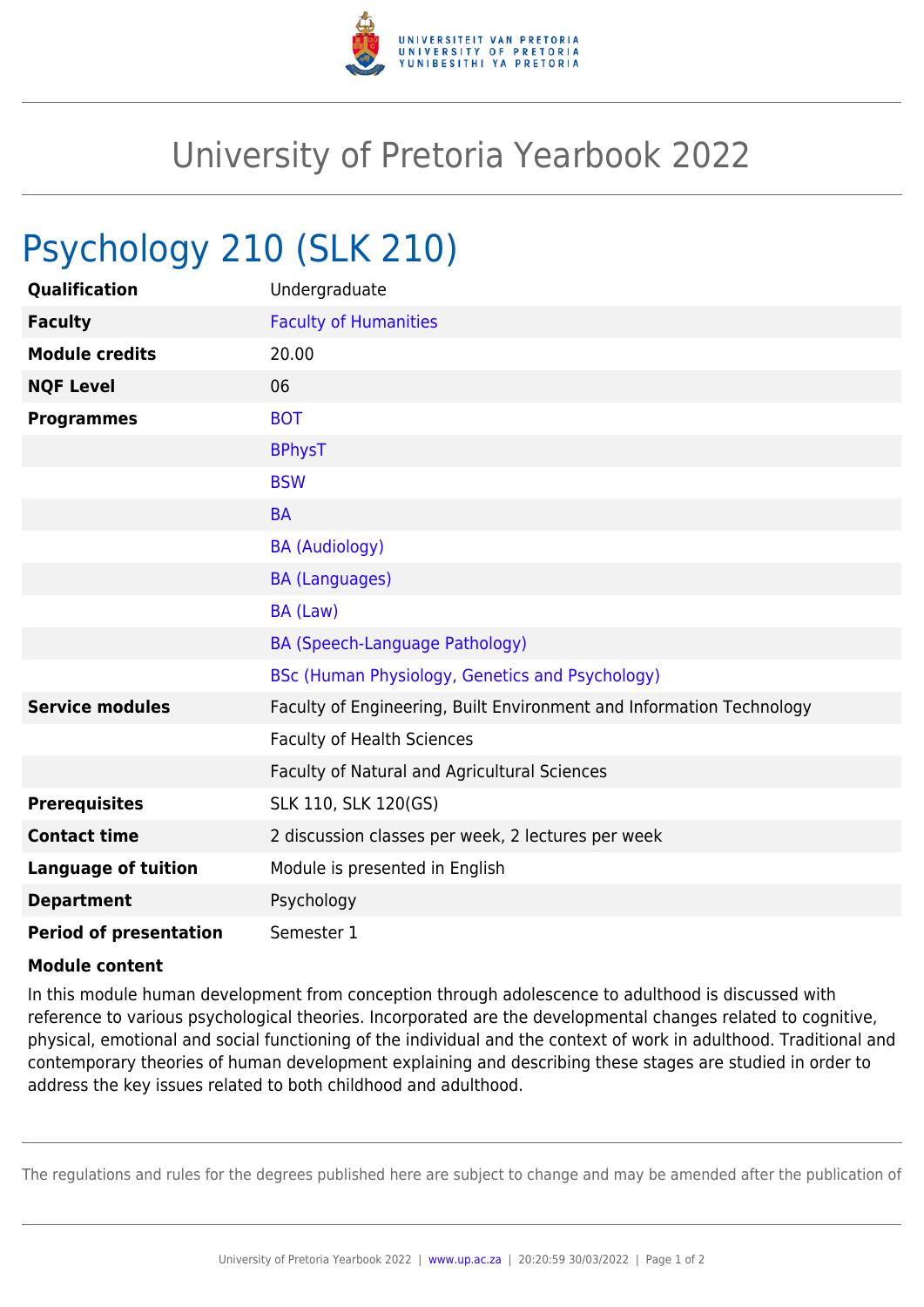

## University of Pretoria Yearbook 2022

## Psychology 210 (SLK 210)

| Qualification                 | Undergraduate                                                        |
|-------------------------------|----------------------------------------------------------------------|
| <b>Faculty</b>                | <b>Faculty of Humanities</b>                                         |
| <b>Module credits</b>         | 20.00                                                                |
| <b>NQF Level</b>              | 06                                                                   |
| <b>Programmes</b>             | <b>BOT</b>                                                           |
|                               | <b>BPhysT</b>                                                        |
|                               | <b>BSW</b>                                                           |
|                               | <b>BA</b>                                                            |
|                               | <b>BA (Audiology)</b>                                                |
|                               | <b>BA (Languages)</b>                                                |
|                               | BA (Law)                                                             |
|                               | BA (Speech-Language Pathology)                                       |
|                               | BSc (Human Physiology, Genetics and Psychology)                      |
| <b>Service modules</b>        | Faculty of Engineering, Built Environment and Information Technology |
|                               | <b>Faculty of Health Sciences</b>                                    |
|                               | Faculty of Natural and Agricultural Sciences                         |
| <b>Prerequisites</b>          | SLK 110, SLK 120(GS)                                                 |
| <b>Contact time</b>           | 2 discussion classes per week, 2 lectures per week                   |
| <b>Language of tuition</b>    | Module is presented in English                                       |
| <b>Department</b>             | Psychology                                                           |
| <b>Period of presentation</b> | Semester 1                                                           |

## **Module content**

In this module human development from conception through adolescence to adulthood is discussed with reference to various psychological theories. Incorporated are the developmental changes related to cognitive, physical, emotional and social functioning of the individual and the context of work in adulthood. Traditional and contemporary theories of human development explaining and describing these stages are studied in order to address the key issues related to both childhood and adulthood.

The regulations and rules for the degrees published here are subject to change and may be amended after the publication of